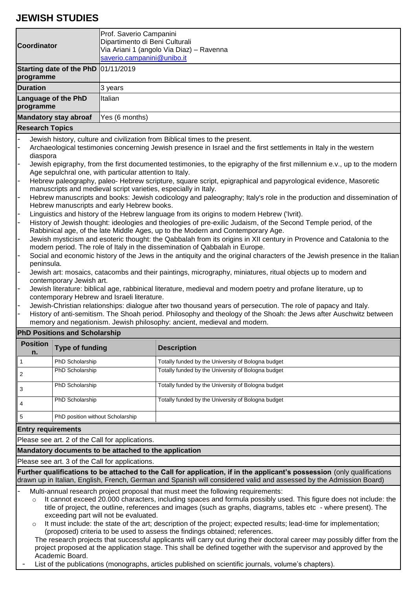## **JEWISH STUDIES**

| <b>Coordinator</b>                                                                                                                                                                                                                                                                                                                    |                                                                                                                                                                                                                                                                                                                                           | Prof. Saverio Campanini<br>Dipartimento di Beni Culturali              |                                                                                                                 |  |  |  |  |
|---------------------------------------------------------------------------------------------------------------------------------------------------------------------------------------------------------------------------------------------------------------------------------------------------------------------------------------|-------------------------------------------------------------------------------------------------------------------------------------------------------------------------------------------------------------------------------------------------------------------------------------------------------------------------------------------|------------------------------------------------------------------------|-----------------------------------------------------------------------------------------------------------------|--|--|--|--|
|                                                                                                                                                                                                                                                                                                                                       |                                                                                                                                                                                                                                                                                                                                           | Via Ariani 1 (angolo Via Diaz) – Ravenna<br>saverio.campanini@unibo.it |                                                                                                                 |  |  |  |  |
| Starting date of the PhD 01/11/2019<br>programme                                                                                                                                                                                                                                                                                      |                                                                                                                                                                                                                                                                                                                                           |                                                                        |                                                                                                                 |  |  |  |  |
| <b>Duration</b>                                                                                                                                                                                                                                                                                                                       |                                                                                                                                                                                                                                                                                                                                           | 3 years                                                                |                                                                                                                 |  |  |  |  |
| <b>Language of the PhD</b><br>programme                                                                                                                                                                                                                                                                                               |                                                                                                                                                                                                                                                                                                                                           | Italian                                                                |                                                                                                                 |  |  |  |  |
| <b>Mandatory stay abroaf</b>                                                                                                                                                                                                                                                                                                          |                                                                                                                                                                                                                                                                                                                                           | Yes (6 months)                                                         |                                                                                                                 |  |  |  |  |
|                                                                                                                                                                                                                                                                                                                                       | <b>Research Topics</b>                                                                                                                                                                                                                                                                                                                    |                                                                        |                                                                                                                 |  |  |  |  |
|                                                                                                                                                                                                                                                                                                                                       | Jewish history, culture and civilization from Biblical times to the present.<br>Archaeological testimonies concerning Jewish presence in Israel and the first settlements in Italy in the western<br>diaspora<br>Jewish epigraphy, from the first documented testimonies, to the epigraphy of the first millennium e.v., up to the modern |                                                                        |                                                                                                                 |  |  |  |  |
| $\overline{a}$                                                                                                                                                                                                                                                                                                                        | Age sepulchral one, with particular attention to Italy.<br>Hebrew paleography, paleo-Hebrew scripture, square script, epigraphical and papyrological evidence, Masoretic                                                                                                                                                                  |                                                                        |                                                                                                                 |  |  |  |  |
| $\overline{a}$                                                                                                                                                                                                                                                                                                                        | manuscripts and medieval script varieties, especially in Italy.<br>Hebrew manuscripts and books: Jewish codicology and paleography; Italy's role in the production and dissemination of                                                                                                                                                   |                                                                        |                                                                                                                 |  |  |  |  |
|                                                                                                                                                                                                                                                                                                                                       | Hebrew manuscripts and early Hebrew books.                                                                                                                                                                                                                                                                                                |                                                                        |                                                                                                                 |  |  |  |  |
| $\overline{ }$                                                                                                                                                                                                                                                                                                                        | Linguistics and history of the Hebrew language from its origins to modern Hebrew ('Ivrit).                                                                                                                                                                                                                                                |                                                                        |                                                                                                                 |  |  |  |  |
|                                                                                                                                                                                                                                                                                                                                       | History of Jewish thought: ideologies and theologies of pre-exilic Judaism, of the Second Temple period, of the                                                                                                                                                                                                                           |                                                                        |                                                                                                                 |  |  |  |  |
|                                                                                                                                                                                                                                                                                                                                       | Rabbinical age, of the late Middle Ages, up to the Modern and Contemporary Age.<br>Jewish mysticism and esoteric thought: the Qabbalah from its origins in XII century in Provence and Catalonia to the                                                                                                                                   |                                                                        |                                                                                                                 |  |  |  |  |
|                                                                                                                                                                                                                                                                                                                                       | modern period. The role of Italy in the dissemination of Qabbalah in Europe.                                                                                                                                                                                                                                                              |                                                                        |                                                                                                                 |  |  |  |  |
|                                                                                                                                                                                                                                                                                                                                       | Social and economic history of the Jews in the antiquity and the original characters of the Jewish presence in the Italian<br>peninsula.                                                                                                                                                                                                  |                                                                        |                                                                                                                 |  |  |  |  |
|                                                                                                                                                                                                                                                                                                                                       | Jewish art: mosaics, catacombs and their paintings, micrography, miniatures, ritual objects up to modern and                                                                                                                                                                                                                              |                                                                        |                                                                                                                 |  |  |  |  |
|                                                                                                                                                                                                                                                                                                                                       | contemporary Jewish art.                                                                                                                                                                                                                                                                                                                  |                                                                        |                                                                                                                 |  |  |  |  |
|                                                                                                                                                                                                                                                                                                                                       | Jewish literature: biblical age, rabbinical literature, medieval and modern poetry and profane literature, up to<br>contemporary Hebrew and Israeli literature.                                                                                                                                                                           |                                                                        |                                                                                                                 |  |  |  |  |
|                                                                                                                                                                                                                                                                                                                                       |                                                                                                                                                                                                                                                                                                                                           |                                                                        | Jewish-Christian relationships: dialogue after two thousand years of persecution. The role of papacy and Italy. |  |  |  |  |
|                                                                                                                                                                                                                                                                                                                                       | History of anti-semitism. The Shoah period. Philosophy and theology of the Shoah: the Jews after Auschwitz between<br>memory and negationism. Jewish philosophy: ancient, medieval and modern.                                                                                                                                            |                                                                        |                                                                                                                 |  |  |  |  |
| <b>PhD Positions and Scholarship</b>                                                                                                                                                                                                                                                                                                  |                                                                                                                                                                                                                                                                                                                                           |                                                                        |                                                                                                                 |  |  |  |  |
| <b>Position</b><br>n.                                                                                                                                                                                                                                                                                                                 | <b>Type of funding</b>                                                                                                                                                                                                                                                                                                                    |                                                                        | <b>Description</b>                                                                                              |  |  |  |  |
| 1                                                                                                                                                                                                                                                                                                                                     | PhD Scholarship                                                                                                                                                                                                                                                                                                                           |                                                                        | Totally funded by the University of Bologna budget                                                              |  |  |  |  |
| $\overline{c}$                                                                                                                                                                                                                                                                                                                        | PhD Scholarship                                                                                                                                                                                                                                                                                                                           |                                                                        | Totally funded by the University of Bologna budget                                                              |  |  |  |  |
| 3                                                                                                                                                                                                                                                                                                                                     | PhD Scholarship                                                                                                                                                                                                                                                                                                                           |                                                                        | Totally funded by the University of Bologna budget                                                              |  |  |  |  |
| 4                                                                                                                                                                                                                                                                                                                                     | PhD Scholarship                                                                                                                                                                                                                                                                                                                           |                                                                        | Totally funded by the University of Bologna budget                                                              |  |  |  |  |
| 5                                                                                                                                                                                                                                                                                                                                     | PhD position without Scholarship                                                                                                                                                                                                                                                                                                          |                                                                        |                                                                                                                 |  |  |  |  |
| <b>Entry requirements</b>                                                                                                                                                                                                                                                                                                             |                                                                                                                                                                                                                                                                                                                                           |                                                                        |                                                                                                                 |  |  |  |  |
| Please see art. 2 of the Call for applications.                                                                                                                                                                                                                                                                                       |                                                                                                                                                                                                                                                                                                                                           |                                                                        |                                                                                                                 |  |  |  |  |
| Mandatory documents to be attached to the application                                                                                                                                                                                                                                                                                 |                                                                                                                                                                                                                                                                                                                                           |                                                                        |                                                                                                                 |  |  |  |  |
| Please see art. 3 of the Call for applications.                                                                                                                                                                                                                                                                                       |                                                                                                                                                                                                                                                                                                                                           |                                                                        |                                                                                                                 |  |  |  |  |
| Further qualifications to be attached to the Call for application, if in the applicant's possession (only qualifications<br>drawn up in Italian, English, French, German and Spanish will considered valid and assessed by the Admission Board)                                                                                       |                                                                                                                                                                                                                                                                                                                                           |                                                                        |                                                                                                                 |  |  |  |  |
| Multi-annual research project proposal that must meet the following requirements:<br>It cannot exceed 20.000 characters, including spaces and formula possibly used. This figure does not include: the<br>$\circ$<br>title of project, the outline, references and images (such as graphs, diagrams, tables etc - where present). The |                                                                                                                                                                                                                                                                                                                                           |                                                                        |                                                                                                                 |  |  |  |  |
|                                                                                                                                                                                                                                                                                                                                       | exceeding part will not be evaluated.<br>It must include: the state of the art: description of the project: expected results: lead-time for implementation:                                                                                                                                                                               |                                                                        |                                                                                                                 |  |  |  |  |

art, description of the project; expected results; lead (proposed) criteria to be used to assess the findings obtained; references.

The research projects that successful applicants will carry out during their doctoral career may possibly differ from the project proposed at the application stage. This shall be defined together with the supervisor and approved by the Academic Board.

List of the publications (monographs, articles published on scientific journals, volume's chapters).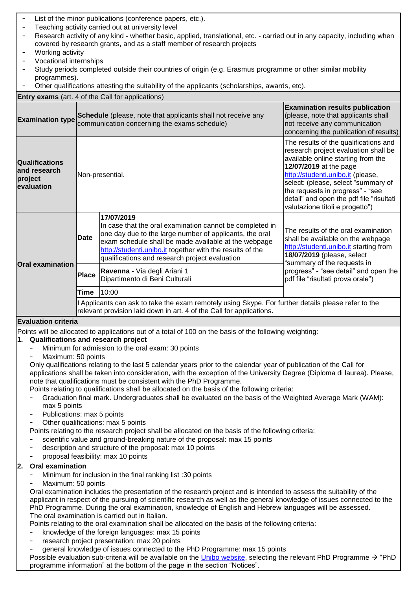| List of the minor publications (conference papers, etc.).                                                                                                                                                                                                                                                                                                                                                                                                                                                                                                                                                                                                                                                                                                |                                                                                                                                                                             |                                                                                                                                                                                                                                                                                                          |                                                                                                                                                                                                                                                                                                                                              |  |  |  |
|----------------------------------------------------------------------------------------------------------------------------------------------------------------------------------------------------------------------------------------------------------------------------------------------------------------------------------------------------------------------------------------------------------------------------------------------------------------------------------------------------------------------------------------------------------------------------------------------------------------------------------------------------------------------------------------------------------------------------------------------------------|-----------------------------------------------------------------------------------------------------------------------------------------------------------------------------|----------------------------------------------------------------------------------------------------------------------------------------------------------------------------------------------------------------------------------------------------------------------------------------------------------|----------------------------------------------------------------------------------------------------------------------------------------------------------------------------------------------------------------------------------------------------------------------------------------------------------------------------------------------|--|--|--|
| Teaching activity carried out at university level<br>Research activity of any kind - whether basic, applied, translational, etc. - carried out in any capacity, including when<br>$\overline{\phantom{a}}$                                                                                                                                                                                                                                                                                                                                                                                                                                                                                                                                               |                                                                                                                                                                             |                                                                                                                                                                                                                                                                                                          |                                                                                                                                                                                                                                                                                                                                              |  |  |  |
| covered by research grants, and as a staff member of research projects                                                                                                                                                                                                                                                                                                                                                                                                                                                                                                                                                                                                                                                                                   |                                                                                                                                                                             |                                                                                                                                                                                                                                                                                                          |                                                                                                                                                                                                                                                                                                                                              |  |  |  |
| Working activity                                                                                                                                                                                                                                                                                                                                                                                                                                                                                                                                                                                                                                                                                                                                         |                                                                                                                                                                             |                                                                                                                                                                                                                                                                                                          |                                                                                                                                                                                                                                                                                                                                              |  |  |  |
| Vocational internships                                                                                                                                                                                                                                                                                                                                                                                                                                                                                                                                                                                                                                                                                                                                   |                                                                                                                                                                             |                                                                                                                                                                                                                                                                                                          |                                                                                                                                                                                                                                                                                                                                              |  |  |  |
| $\overline{\phantom{a}}$<br>programmes).                                                                                                                                                                                                                                                                                                                                                                                                                                                                                                                                                                                                                                                                                                                 | Study periods completed outside their countries of origin (e.g. Erasmus programme or other similar mobility                                                                 |                                                                                                                                                                                                                                                                                                          |                                                                                                                                                                                                                                                                                                                                              |  |  |  |
|                                                                                                                                                                                                                                                                                                                                                                                                                                                                                                                                                                                                                                                                                                                                                          |                                                                                                                                                                             | Other qualifications attesting the suitability of the applicants (scholarships, awards, etc).                                                                                                                                                                                                            |                                                                                                                                                                                                                                                                                                                                              |  |  |  |
|                                                                                                                                                                                                                                                                                                                                                                                                                                                                                                                                                                                                                                                                                                                                                          |                                                                                                                                                                             | <b>Entry exams</b> (art. 4 of the Call for applications)                                                                                                                                                                                                                                                 |                                                                                                                                                                                                                                                                                                                                              |  |  |  |
| <b>Examination type</b>                                                                                                                                                                                                                                                                                                                                                                                                                                                                                                                                                                                                                                                                                                                                  | Schedule (please, note that applicants shall not receive any<br>communication concerning the exams schedule)                                                                |                                                                                                                                                                                                                                                                                                          | <b>Examination results publication</b><br>(please, note that applicants shall<br>not receive any communication<br>concerning the publication of results)                                                                                                                                                                                     |  |  |  |
| <b>Qualifications</b><br>and research<br>project<br>evaluation                                                                                                                                                                                                                                                                                                                                                                                                                                                                                                                                                                                                                                                                                           | Non-presential.                                                                                                                                                             |                                                                                                                                                                                                                                                                                                          | The results of the qualifications and<br>research project evaluation shall be<br>available online starting from the<br>12/07/2019 at the page<br>http://studenti.unibo.it (please,<br>select: (please, select "summary of<br>the requests in progress" - "see<br>detail" and open the pdf file "risultati<br>valutazione titoli e progetto") |  |  |  |
|                                                                                                                                                                                                                                                                                                                                                                                                                                                                                                                                                                                                                                                                                                                                                          | <b>Date</b>                                                                                                                                                                 | 17/07/2019<br>In case that the oral examination cannot be completed in<br>one day due to the large number of applicants, the oral<br>exam schedule shall be made available at the webpage<br>http://studenti.unibo.it together with the results of the<br>qualifications and research project evaluation | The results of the oral examination<br>shall be available on the webpage<br>http://studenti.unibo.it starting from<br>18/07/2019 (please, select<br>"summary of the requests in<br>progress" - "see detail" and open the<br>pdf file "risultati prova orale")                                                                                |  |  |  |
| <b>Oral examination</b>                                                                                                                                                                                                                                                                                                                                                                                                                                                                                                                                                                                                                                                                                                                                  | <b>Place</b>                                                                                                                                                                | Ravenna - Via degli Ariani 1<br>Dipartimento di Beni Culturali                                                                                                                                                                                                                                           |                                                                                                                                                                                                                                                                                                                                              |  |  |  |
|                                                                                                                                                                                                                                                                                                                                                                                                                                                                                                                                                                                                                                                                                                                                                          | Time                                                                                                                                                                        | 10:00                                                                                                                                                                                                                                                                                                    |                                                                                                                                                                                                                                                                                                                                              |  |  |  |
|                                                                                                                                                                                                                                                                                                                                                                                                                                                                                                                                                                                                                                                                                                                                                          | I Applicants can ask to take the exam remotely using Skype. For further details please refer to the<br>relevant provision laid down in art. 4 of the Call for applications. |                                                                                                                                                                                                                                                                                                          |                                                                                                                                                                                                                                                                                                                                              |  |  |  |
| <b>Evaluation criteria</b>                                                                                                                                                                                                                                                                                                                                                                                                                                                                                                                                                                                                                                                                                                                               |                                                                                                                                                                             |                                                                                                                                                                                                                                                                                                          |                                                                                                                                                                                                                                                                                                                                              |  |  |  |
|                                                                                                                                                                                                                                                                                                                                                                                                                                                                                                                                                                                                                                                                                                                                                          |                                                                                                                                                                             | Points will be allocated to applications out of a total of 100 on the basis of the following weighting:                                                                                                                                                                                                  |                                                                                                                                                                                                                                                                                                                                              |  |  |  |
| Qualifications and research project<br>1.                                                                                                                                                                                                                                                                                                                                                                                                                                                                                                                                                                                                                                                                                                                |                                                                                                                                                                             |                                                                                                                                                                                                                                                                                                          |                                                                                                                                                                                                                                                                                                                                              |  |  |  |
|                                                                                                                                                                                                                                                                                                                                                                                                                                                                                                                                                                                                                                                                                                                                                          |                                                                                                                                                                             | Minimum for admission to the oral exam: 30 points                                                                                                                                                                                                                                                        |                                                                                                                                                                                                                                                                                                                                              |  |  |  |
| Maximum: 50 points<br>Only qualifications relating to the last 5 calendar years prior to the calendar year of publication of the Call for<br>applications shall be taken into consideration, with the exception of the University Degree (Diploma di laurea). Please,<br>note that qualifications must be consistent with the PhD Programme.<br>Points relating to qualifications shall be allocated on the basis of the following criteria:<br>Graduation final mark. Undergraduates shall be evaluated on the basis of the Weighted Average Mark (WAM):<br>max 5 points<br>Publications: max 5 points<br>-<br>Other qualifications: max 5 points<br>Points relating to the research project shall be allocated on the basis of the following criteria: |                                                                                                                                                                             |                                                                                                                                                                                                                                                                                                          |                                                                                                                                                                                                                                                                                                                                              |  |  |  |
| scientific value and ground-breaking nature of the proposal: max 15 points<br>description and structure of the proposal: max 10 points<br>proposal feasibility: max 10 points                                                                                                                                                                                                                                                                                                                                                                                                                                                                                                                                                                            |                                                                                                                                                                             |                                                                                                                                                                                                                                                                                                          |                                                                                                                                                                                                                                                                                                                                              |  |  |  |
| <b>Oral examination</b><br>2.                                                                                                                                                                                                                                                                                                                                                                                                                                                                                                                                                                                                                                                                                                                            |                                                                                                                                                                             |                                                                                                                                                                                                                                                                                                          |                                                                                                                                                                                                                                                                                                                                              |  |  |  |
| Minimum for inclusion in the final ranking list :30 points<br>Maximum: 50 points<br>Oral examination includes the presentation of the research project and is intended to assess the suitability of the<br>applicant in respect of the pursuing of scientific research as well as the general knowledge of issues connected to the<br>PhD Programme. During the oral examination, knowledge of English and Hebrew languages will be assessed.<br>The oral examination is carried out in Italian.                                                                                                                                                                                                                                                         |                                                                                                                                                                             |                                                                                                                                                                                                                                                                                                          |                                                                                                                                                                                                                                                                                                                                              |  |  |  |
| Points relating to the oral examination shall be allocated on the basis of the following criteria:<br>knowledge of the foreign languages: may 15 points                                                                                                                                                                                                                                                                                                                                                                                                                                                                                                                                                                                                  |                                                                                                                                                                             |                                                                                                                                                                                                                                                                                                          |                                                                                                                                                                                                                                                                                                                                              |  |  |  |

- knowledge of the foreign languages: max 15 points
- research project presentation: max 20 points
- general knowledge of issues connected to the PhD Programme: max 15 points

Possible evaluation sub-criteria will be available on the [Unibo website,](https://www.unibo.it/en/teaching/phd/2019-2020#!) selecting the relevant PhD Programme  $\rightarrow$  "PhD programme information" at the bottom of the page in the section "Notices".